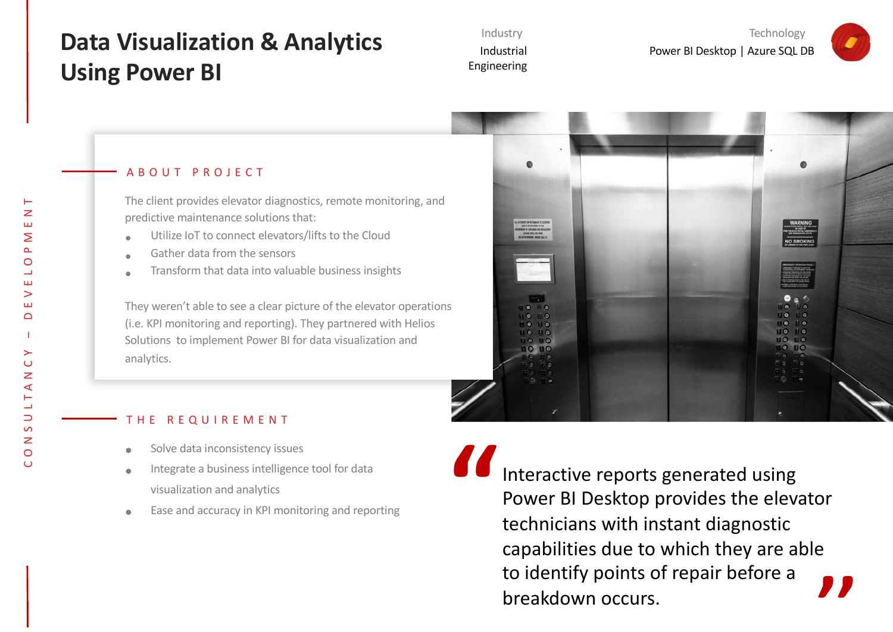## **Data Visualization & Analytics Using Power BI**

Industry Industrial Engineering

Technology Power BI Desktop | Azure SQL DB



#### ABOUT PROJECT

The client provides elevator diagnostics, remote monitoring, and predictive maintenance solutions that:

- Utilize IoT to connect elevators/lifts to the Cloud
- Gather data from the sensors
- Transform that data into valuable business insights

They weren't able to see a clear picture of the elevator operations (i.e. KPI monitoring and reporting). They partnered with Helios Solutions to implement Power BI for data visualization and analytics.



#### THE REQUIREMENT

- Solve data inconsistency issues
- Integrate a business intelligence tool for data visualization and analytics
- Ease and accuracy in KPI monitoring and reporting

Interactive reports generated using Power BI Desktop provides the elevator technicians with instant diagnostic capabilities due to which they are able to identify points of repair before a breakdown occurs. **,, "**

 $\cup$